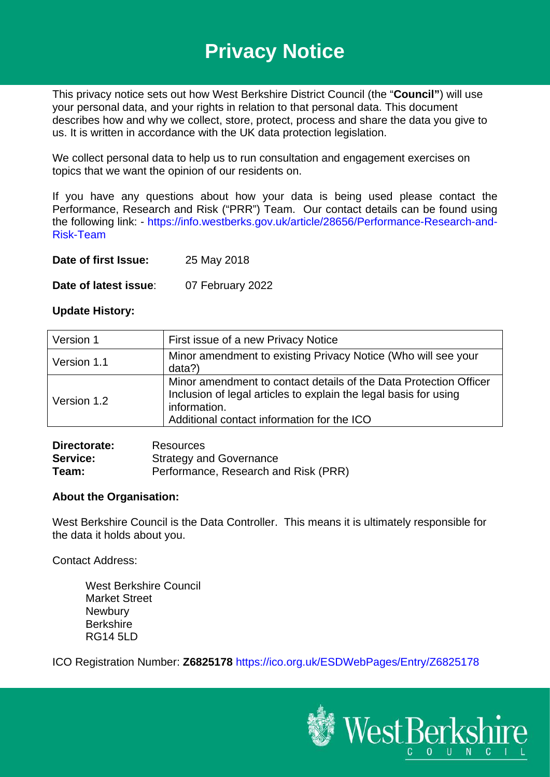# **Privacy Notice**

This privacy notice sets out how West Berkshire District Council (the "**Council"**) will use your personal data, and your rights in relation to that personal data. This document describes how and why we collect, store, protect, process and share the data you give to us. It is written in accordance with the UK data protection legislation.

We collect personal data to help us to run consultation and engagement exercises on topics that we want the opinion of our residents on.

If you have any questions about how your data is being used please contact the Performance, Research and Risk ("PRR") Team. Our contact details can be found using the following link: - [https://info.westberks.gov.uk/article/28656/Performance-Research-and-](https://info.westberks.gov.uk/article/28656/Performance-Research-and-Risk-Team)[Risk-Team](https://info.westberks.gov.uk/article/28656/Performance-Research-and-Risk-Team)

**Date of first Issue:** 25 May 2018

**Date of latest issue**: 07 February 2022

### **Update History:**

| Version 1   | First issue of a new Privacy Notice                                                                                                                                                                 |  |
|-------------|-----------------------------------------------------------------------------------------------------------------------------------------------------------------------------------------------------|--|
| Version 1.1 | Minor amendment to existing Privacy Notice (Who will see your<br>data?)                                                                                                                             |  |
| Version 1.2 | Minor amendment to contact details of the Data Protection Officer<br>Inclusion of legal articles to explain the legal basis for using<br>information.<br>Additional contact information for the ICO |  |

| Directorate:    | Resources                            |
|-----------------|--------------------------------------|
| <b>Service:</b> | <b>Strategy and Governance</b>       |
| Team:           | Performance, Research and Risk (PRR) |

### **About the Organisation:**

West Berkshire Council is the Data Controller. This means it is ultimately responsible for the data it holds about you.

Contact Address:

West Berkshire Council Market Street **Newbury** Berkshire RG14 5LD

ICO Registration Number: **Z6825178** <https://ico.org.uk/ESDWebPages/Entry/Z6825178>

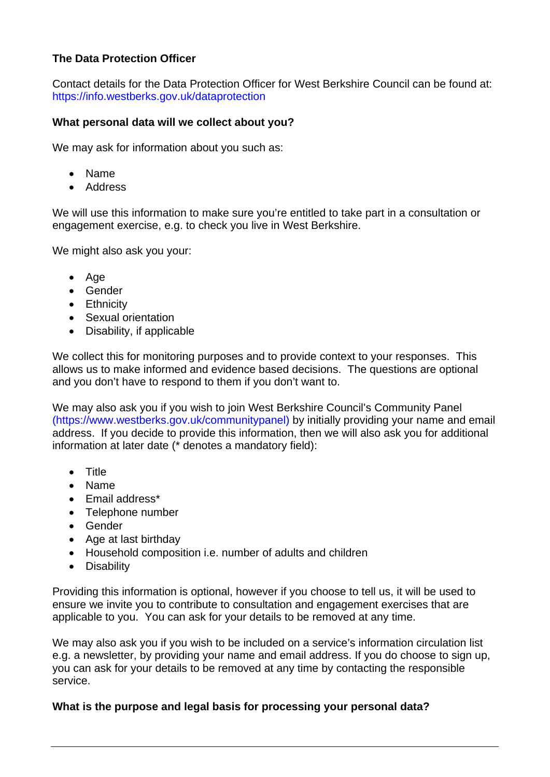## **The Data Protection Officer**

Contact details for the Data Protection Officer for West Berkshire Council can be found at: <https://info.westberks.gov.uk/dataprotection>

## **What personal data will we collect about you?**

We may ask for information about you such as:

- Name
- Address

We will use this information to make sure you're entitled to take part in a consultation or engagement exercise, e.g. to check you live in West Berkshire.

We might also ask you your:

- Age
- Gender
- Ethnicity
- Sexual orientation
- Disability, if applicable

We collect this for monitoring purposes and to provide context to your responses. This allows us to make informed and evidence based decisions. The questions are optional and you don't have to respond to them if you don't want to.

We may also ask you if you wish to join West Berkshire Council's Community Panel [\(https://www.westberks.gov.uk/communitypanel\)](https://www.westberks.gov.uk/communitypanel) by initially providing your name and email address. If you decide to provide this information, then we will also ask you for additional information at later date (\* denotes a mandatory field):

- Title
- Name
- Email address\*
- Telephone number
- Gender
- Age at last birthday
- Household composition i.e. number of adults and children
- Disability

Providing this information is optional, however if you choose to tell us, it will be used to ensure we invite you to contribute to consultation and engagement exercises that are applicable to you. You can ask for your details to be removed at any time.

We may also ask you if you wish to be included on a service's information circulation list e.g. a newsletter, by providing your name and email address. If you do choose to sign up, you can ask for your details to be removed at any time by contacting the responsible service.

### **What is the purpose and legal basis for processing your personal data?**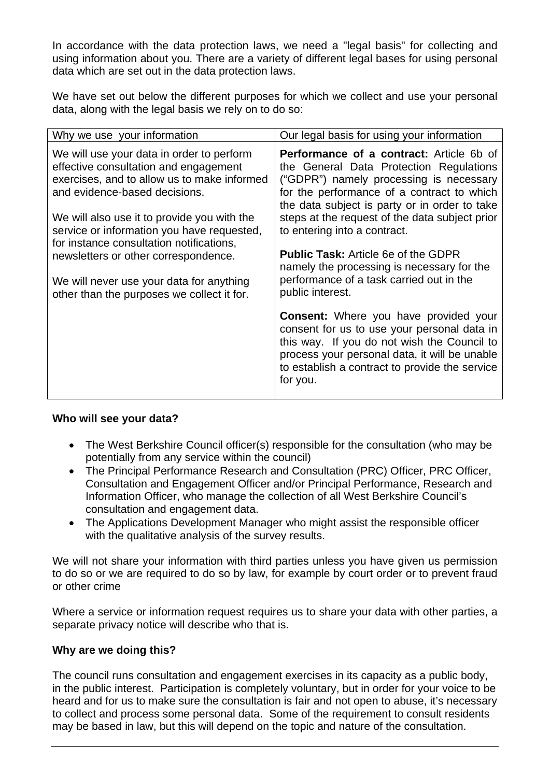In accordance with the data protection laws, we need a "legal basis" for collecting and using information about you. There are a variety of different legal bases for using personal data which are set out in the data protection laws.

We have set out below the different purposes for which we collect and use your personal data, along with the legal basis we rely on to do so:

| Why we use your information                                                                                                                                                                                                                                                                                                                         | Our legal basis for using your information                                                                                                                                                                                                                                                                                                                                                                                                                     |
|-----------------------------------------------------------------------------------------------------------------------------------------------------------------------------------------------------------------------------------------------------------------------------------------------------------------------------------------------------|----------------------------------------------------------------------------------------------------------------------------------------------------------------------------------------------------------------------------------------------------------------------------------------------------------------------------------------------------------------------------------------------------------------------------------------------------------------|
| We will use your data in order to perform<br>effective consultation and engagement<br>exercises, and to allow us to make informed<br>and evidence-based decisions.<br>We will also use it to provide you with the<br>service or information you have requested,<br>for instance consultation notifications,<br>newsletters or other correspondence. | <b>Performance of a contract:</b> Article 6b of<br>the General Data Protection Regulations<br>("GDPR") namely processing is necessary<br>for the performance of a contract to which<br>the data subject is party or in order to take<br>steps at the request of the data subject prior<br>to entering into a contract.<br><b>Public Task:</b> Article 6e of the GDPR<br>namely the processing is necessary for the<br>performance of a task carried out in the |
| We will never use your data for anything<br>other than the purposes we collect it for.                                                                                                                                                                                                                                                              | public interest.                                                                                                                                                                                                                                                                                                                                                                                                                                               |
|                                                                                                                                                                                                                                                                                                                                                     | Consent: Where you have provided your<br>consent for us to use your personal data in<br>this way. If you do not wish the Council to<br>process your personal data, it will be unable<br>to establish a contract to provide the service<br>for you.                                                                                                                                                                                                             |

## **Who will see your data?**

- The West Berkshire Council officer(s) responsible for the consultation (who may be potentially from any service within the council)
- The Principal Performance Research and Consultation (PRC) Officer, PRC Officer, Consultation and Engagement Officer and/or Principal Performance, Research and Information Officer, who manage the collection of all West Berkshire Council's consultation and engagement data.
- The Applications Development Manager who might assist the responsible officer with the qualitative analysis of the survey results.

We will not share your information with third parties unless you have given us permission to do so or we are required to do so by law, for example by court order or to prevent fraud or other crime

Where a service or information request requires us to share your data with other parties, a separate privacy notice will describe who that is.

## **Why are we doing this?**

The council runs consultation and engagement exercises in its capacity as a public body, in the public interest. Participation is completely voluntary, but in order for your voice to be heard and for us to make sure the consultation is fair and not open to abuse, it's necessary to collect and process some personal data. Some of the requirement to consult residents may be based in law, but this will depend on the topic and nature of the consultation.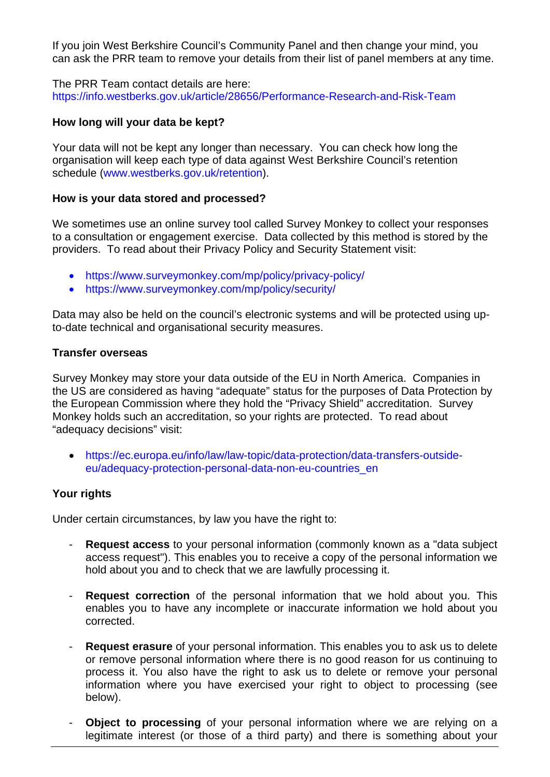If you join West Berkshire Council's Community Panel and then change your mind, you can ask the PRR team to remove your details from their list of panel members at any time.

The PRR Team contact details are here: <https://info.westberks.gov.uk/article/28656/Performance-Research-and-Risk-Team>

#### **How long will your data be kept?**

Your data will not be kept any longer than necessary. You can check how long the organisation will keep each type of data against West Berkshire Council's retention schedule [\(www.westberks.gov.uk/retention\)](http://www.westberks.gov.uk/retention).

#### **How is your data stored and processed?**

We sometimes use an online survey tool called Survey Monkey to collect your responses to a consultation or engagement exercise. Data collected by this method is stored by the providers. To read about their Privacy Policy and Security Statement visit:

- <https://www.surveymonkey.com/mp/policy/privacy-policy/>
- <https://www.surveymonkey.com/mp/policy/security/>

Data may also be held on the council's electronic systems and will be protected using upto-date technical and organisational security measures.

#### **Transfer overseas**

Survey Monkey may store your data outside of the EU in North America. Companies in the US are considered as having "adequate" status for the purposes of Data Protection by the European Commission where they hold the "Privacy Shield" accreditation. Survey Monkey holds such an accreditation, so your rights are protected. To read about "adequacy decisions" visit:

• [https://ec.europa.eu/info/law/law-topic/data-protection/data-transfers-outside](https://ec.europa.eu/info/law/law-topic/data-protection/data-transfers-outside-eu/adequacy-protection-personal-data-non-eu-countries_en)[eu/adequacy-protection-personal-data-non-eu-countries\\_en](https://ec.europa.eu/info/law/law-topic/data-protection/data-transfers-outside-eu/adequacy-protection-personal-data-non-eu-countries_en)

### **Your rights**

Under certain circumstances, by law you have the right to:

- **Request access** to your personal information (commonly known as a "data subject access request"). This enables you to receive a copy of the personal information we hold about you and to check that we are lawfully processing it.
- **Request correction** of the personal information that we hold about you. This enables you to have any incomplete or inaccurate information we hold about you corrected.
- **Request erasure** of your personal information. This enables you to ask us to delete or remove personal information where there is no good reason for us continuing to process it. You also have the right to ask us to delete or remove your personal information where you have exercised your right to object to processing (see below).
- **Object to processing** of your personal information where we are relying on a legitimate interest (or those of a third party) and there is something about your